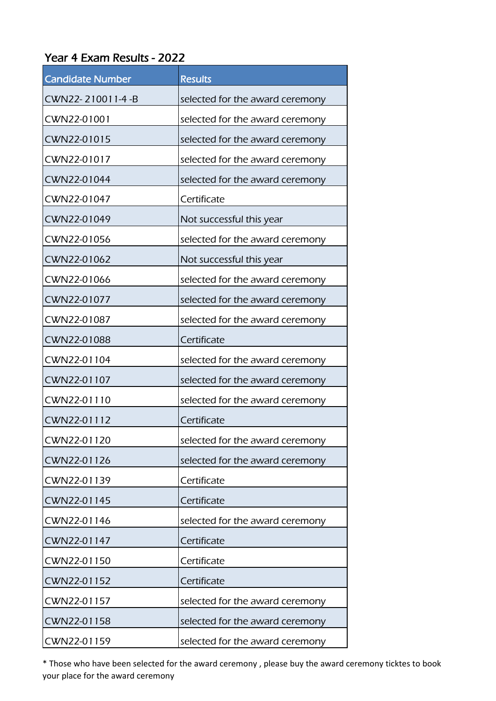## Year 4 Exam Results - 2022

| <b>Candidate Number</b> | <b>Results</b>                  |
|-------------------------|---------------------------------|
| CWN22-210011-4-B        | selected for the award ceremony |
| CWN22-01001             | selected for the award ceremony |
| CWN22-01015             | selected for the award ceremony |
| CWN22-01017             | selected for the award ceremony |
| CWN22-01044             | selected for the award ceremony |
| CWN22-01047             | Certificate                     |
| CWN22-01049             | Not successful this year        |
| CWN22-01056             | selected for the award ceremony |
| CWN22-01062             | Not successful this year        |
| CWN22-01066             | selected for the award ceremony |
| CWN22-01077             | selected for the award ceremony |
| CWN22-01087             | selected for the award ceremony |
| CWN22-01088             | Certificate                     |
| CWN22-01104             | selected for the award ceremony |
| CWN22-01107             | selected for the award ceremony |
| CWN22-01110             | selected for the award ceremony |
| CWN22-01112             | Certificate                     |
| CWN22-01120             | selected for the award ceremony |
| CWN22-01126             | selected for the award ceremony |
| CWN22-01139             | Certificate                     |
| CWN22-01145             | Certificate                     |
| CWN22-01146             | selected for the award ceremony |
| CWN22-01147             | Certificate                     |
| CWN22-01150             | Certificate                     |
| CWN22-01152             | Certificate                     |
| CWN22-01157             | selected for the award ceremony |
| CWN22-01158             | selected for the award ceremony |
| CWN22-01159             | selected for the award ceremony |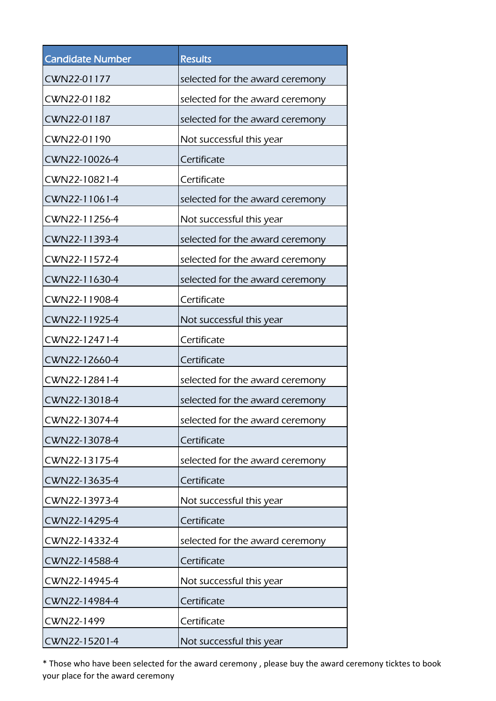| <b>Candidate Number</b> | <b>Results</b>                  |
|-------------------------|---------------------------------|
| CWN22-01177             | selected for the award ceremony |
| CWN22-01182             | selected for the award ceremony |
| CWN22-01187             | selected for the award ceremony |
| CWN22-01190             | Not successful this year        |
| CWN22-10026-4           | Certificate                     |
| CWN22-10821-4           | Certificate                     |
| CWN22-11061-4           | selected for the award ceremony |
| CWN22-11256-4           | Not successful this year        |
| CWN22-11393-4           | selected for the award ceremony |
| CWN22-11572-4           | selected for the award ceremony |
| CWN22-11630-4           | selected for the award ceremony |
| CWN22-11908-4           | Certificate                     |
| CWN22-11925-4           | Not successful this year        |
| CWN22-12471-4           | Certificate                     |
| CWN22-12660-4           | Certificate                     |
| CWN22-12841-4           | selected for the award ceremony |
| CWN22-13018-4           | selected for the award ceremony |
| CWN22-13074-4           | selected for the award ceremony |
| CWN22-13078-4           | Certificate                     |
| CWN22-13175-4           | selected for the award ceremony |
| CWN22-13635-4           | Certificate                     |
| CWN22-13973-4           | Not successful this year        |
| CWN22-14295-4           | Certificate                     |
| CWN22-14332-4           | selected for the award ceremony |
| CWN22-14588-4           | Certificate                     |
| CWN22-14945-4           | Not successful this year        |
| CWN22-14984-4           | Certificate                     |
| CWN22-1499              | Certificate                     |
| CWN22-15201-4           | Not successful this year        |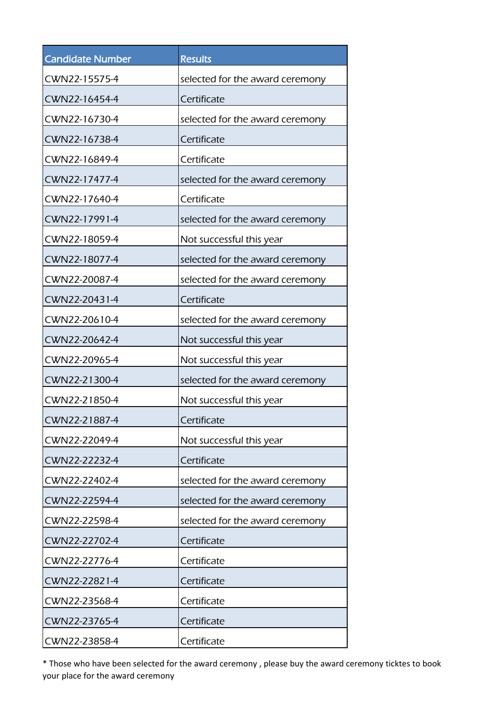| <b>Candidate Number</b> | <b>Results</b>                  |
|-------------------------|---------------------------------|
| CWN22-15575-4           | selected for the award ceremony |
| CWN22-16454-4           | Certificate                     |
| CWN22-16730-4           | selected for the award ceremony |
| CWN22-16738-4           | Certificate                     |
| CWN22-16849-4           | Certificate                     |
| CWN22-17477-4           | selected for the award ceremony |
| CWN22-17640-4           | Certificate                     |
| CWN22-17991-4           | selected for the award ceremony |
| CWN22-18059-4           | Not successful this year        |
| CWN22-18077-4           | selected for the award ceremony |
| CWN22-20087-4           | selected for the award ceremony |
| CWN22-20431-4           | Certificate                     |
| CWN22-20610-4           | selected for the award ceremony |
| CWN22-20642-4           | Not successful this year        |
| CWN22-20965-4           | Not successful this year        |
| CWN22-21300-4           | selected for the award ceremony |
| CWN22-21850-4           | Not successful this year        |
| CWN22-21887-4           | Certificate                     |
| CWN22-22049-4           | Not successful this year        |
| CWN22-22232-4           | Certificate                     |
| CWN22-22402-4           | selected for the award ceremony |
| CWN22-22594-4           | selected for the award ceremony |
| CWN22-22598-4           | selected for the award ceremony |
| CWN22-22702-4           | Certificate                     |
| CWN22-22776-4           | Certificate                     |
| CWN22-22821-4           | Certificate                     |
| CWN22-23568-4           | Certificate                     |
| CWN22-23765-4           | Certificate                     |
| CWN22-23858-4           | Certificate                     |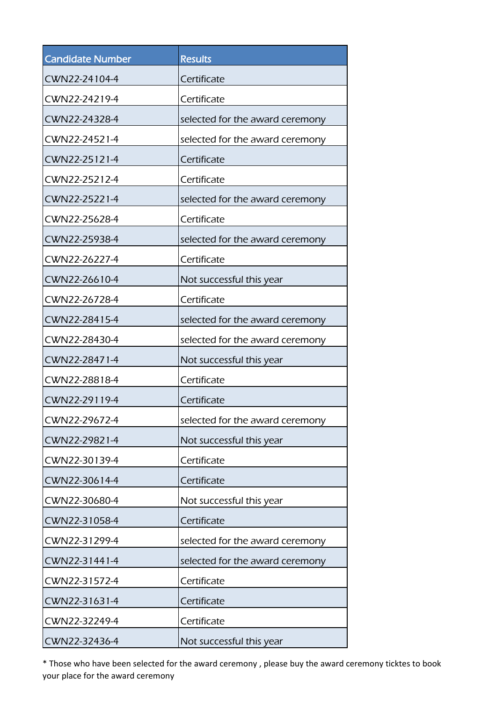| <b>Candidate Number</b> | <b>Results</b>                  |
|-------------------------|---------------------------------|
| CWN22-24104-4           | Certificate                     |
| CWN22-24219-4           | Certificate                     |
| CWN22-24328-4           | selected for the award ceremony |
| CWN22-24521-4           | selected for the award ceremony |
| CWN22-25121-4           | Certificate                     |
| CWN22-25212-4           | Certificate                     |
| CWN22-25221-4           | selected for the award ceremony |
| CWN22-25628-4           | Certificate                     |
| CWN22-25938-4           | selected for the award ceremony |
| CWN22-26227-4           | Certificate                     |
| CWN22-26610-4           | Not successful this year        |
| CWN22-26728-4           | Certificate                     |
| CWN22-28415-4           | selected for the award ceremony |
| CWN22-28430-4           | selected for the award ceremony |
| CWN22-28471-4           | Not successful this year        |
| CWN22-28818-4           | Certificate                     |
| CWN22-29119-4           | Certificate                     |
| CWN22-29672-4           | selected for the award ceremony |
| CWN22-29821-4           | Not successful this year        |
| CWN22-30139-4           | Certificate                     |
| CWN22-30614-4           | Certificate                     |
| CWN22-30680-4           | Not successful this year        |
| CWN22-31058-4           | Certificate                     |
| CWN22-31299-4           | selected for the award ceremony |
| CWN22-31441-4           | selected for the award ceremony |
| CWN22-31572-4           | Certificate                     |
| CWN22-31631-4           | Certificate                     |
| CWN22-32249-4           | Certificate                     |
| CWN22-32436-4           | Not successful this year        |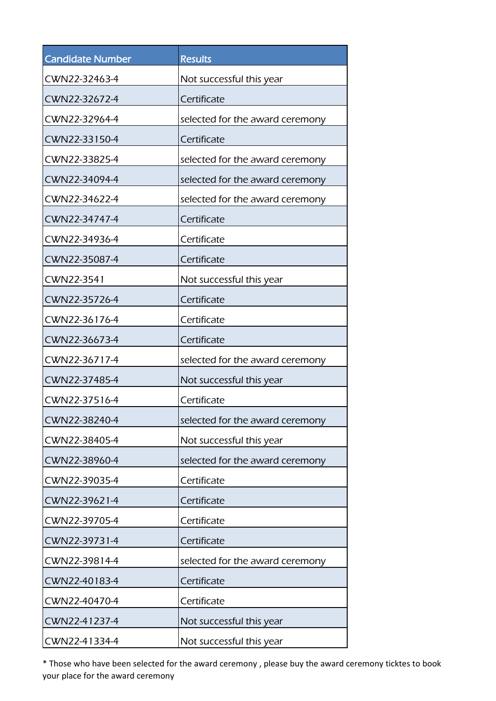| <b>Candidate Number</b> | <b>Results</b>                  |
|-------------------------|---------------------------------|
| CWN22-32463-4           | Not successful this year        |
| CWN22-32672-4           | Certificate                     |
| CWN22-32964-4           | selected for the award ceremony |
| CWN22-33150-4           | Certificate                     |
| CWN22-33825-4           | selected for the award ceremony |
| CWN22-34094-4           | selected for the award ceremony |
| CWN22-34622-4           | selected for the award ceremony |
| CWN22-34747-4           | Certificate                     |
| CWN22-34936-4           | Certificate                     |
| CWN22-35087-4           | Certificate                     |
| CWN22-3541              | Not successful this year        |
| CWN22-35726-4           | Certificate                     |
| CWN22-36176-4           | Certificate                     |
| CWN22-36673-4           | Certificate                     |
| CWN22-36717-4           | selected for the award ceremony |
| CWN22-37485-4           | Not successful this year        |
| CWN22-37516-4           | Certificate                     |
| CWN22-38240-4           | selected for the award ceremony |
| CWN22-38405-4           | Not successful this year        |
| CWN22-38960-4           | selected for the award ceremony |
| CWN22-39035-4           | Certificate                     |
| CWN22-39621-4           | Certificate                     |
| CWN22-39705-4           | Certificate                     |
| CWN22-39731-4           | Certificate                     |
| CWN22-39814-4           | selected for the award ceremony |
| CWN22-40183-4           | Certificate                     |
| CWN22-40470-4           | Certificate                     |
| CWN22-41237-4           | Not successful this year        |
| CWN22-41334-4           | Not successful this year        |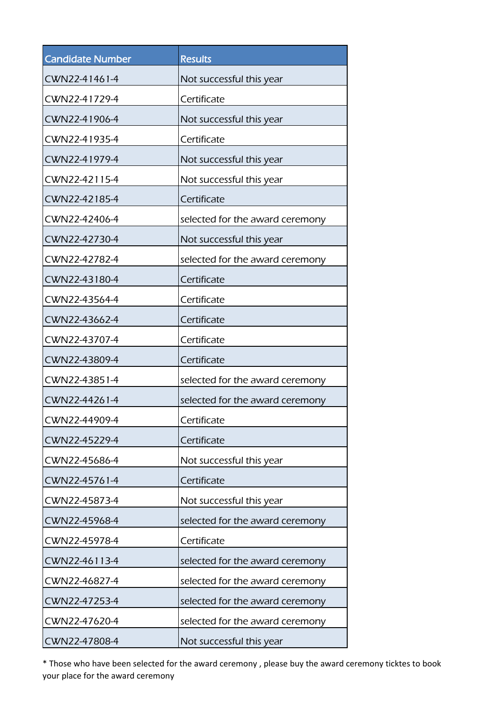| <b>Candidate Number</b> | <b>Results</b>                  |
|-------------------------|---------------------------------|
| CWN22-41461-4           | Not successful this year        |
| CWN22-41729-4           | Certificate                     |
| CWN22-41906-4           | Not successful this year        |
| CWN22-41935-4           | Certificate                     |
| CWN22-41979-4           | Not successful this year        |
| CWN22-42115-4           | Not successful this year        |
| CWN22-42185-4           | Certificate                     |
| CWN22-42406-4           | selected for the award ceremony |
| CWN22-42730-4           | Not successful this year        |
| CWN22-42782-4           | selected for the award ceremony |
| CWN22-43180-4           | Certificate                     |
| CWN22-43564-4           | Certificate                     |
| CWN22-43662-4           | Certificate                     |
| CWN22-43707-4           | Certificate                     |
| CWN22-43809-4           | Certificate                     |
| CWN22-43851-4           | selected for the award ceremony |
| CWN22-44261-4           | selected for the award ceremony |
| CWN22-44909-4           | Certificate                     |
| CWN22-45229-4           | Certificate                     |
| CWN22-45686-4           | Not successful this year        |
| CWN22-45761-4           | Certificate                     |
| CWN22-45873-4           | Not successful this year        |
| CWN22-45968-4           | selected for the award ceremony |
| CWN22-45978-4           | Certificate                     |
| CWN22-46113-4           | selected for the award ceremony |
| CWN22-46827-4           | selected for the award ceremony |
| CWN22-47253-4           | selected for the award ceremony |
| CWN22-47620-4           | selected for the award ceremony |
| CWN22-47808-4           | Not successful this year        |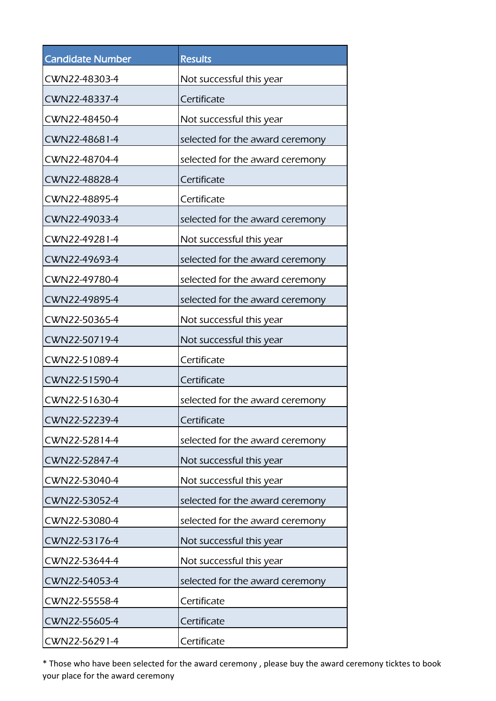| <b>Candidate Number</b> | <b>Results</b>                  |
|-------------------------|---------------------------------|
| CWN22-48303-4           | Not successful this year        |
| CWN22-48337-4           | Certificate                     |
| CWN22-48450-4           | Not successful this year        |
| CWN22-48681-4           | selected for the award ceremony |
| CWN22-48704-4           | selected for the award ceremony |
| CWN22-48828-4           | Certificate                     |
| CWN22-48895-4           | Certificate                     |
| CWN22-49033-4           | selected for the award ceremony |
| CWN22-49281-4           | Not successful this year        |
| CWN22-49693-4           | selected for the award ceremony |
| CWN22-49780-4           | selected for the award ceremony |
| CWN22-49895-4           | selected for the award ceremony |
| CWN22-50365-4           | Not successful this year        |
| CWN22-50719-4           | Not successful this year        |
| CWN22-51089-4           | Certificate                     |
| CWN22-51590-4           | Certificate                     |
| CWN22-51630-4           | selected for the award ceremony |
| CWN22-52239-4           | Certificate                     |
| CWN22-52814-4           | selected for the award ceremony |
| CWN22-52847-4           | Not successful this year        |
| CWN22-53040-4           | Not successful this year        |
| CWN22-53052-4           | selected for the award ceremony |
| CWN22-53080-4           | selected for the award ceremony |
| CWN22-53176-4           | Not successful this year        |
| CWN22-53644-4           | Not successful this year        |
| CWN22-54053-4           | selected for the award ceremony |
| CWN22-55558-4           | Certificate                     |
| CWN22-55605-4           | Certificate                     |
| CWN22-56291-4           | Certificate                     |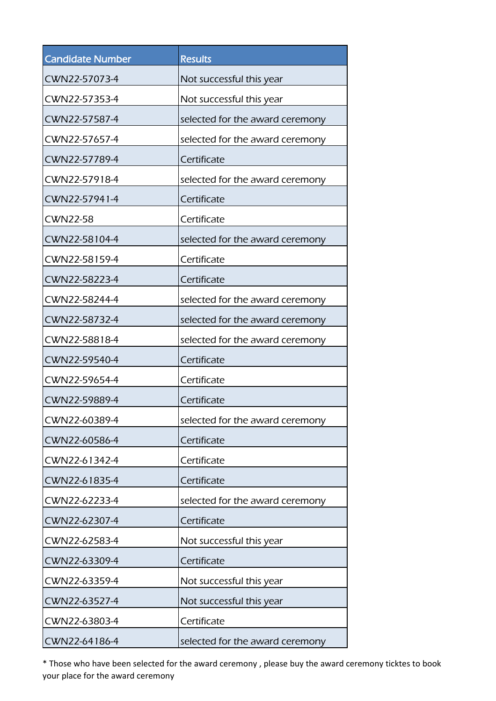| <b>Candidate Number</b> | <b>Results</b>                  |
|-------------------------|---------------------------------|
| CWN22-57073-4           | Not successful this year        |
| CWN22-57353-4           | Not successful this year        |
| CWN22-57587-4           | selected for the award ceremony |
| CWN22-57657-4           | selected for the award ceremony |
| CWN22-57789-4           | Certificate                     |
| CWN22-57918-4           | selected for the award ceremony |
| CWN22-57941-4           | Certificate                     |
| <b>CWN22-58</b>         | Certificate                     |
| CWN22-58104-4           | selected for the award ceremony |
| CWN22-58159-4           | Certificate                     |
| CWN22-58223-4           | Certificate                     |
| CWN22-58244-4           | selected for the award ceremony |
| CWN22-58732-4           | selected for the award ceremony |
| CWN22-58818-4           | selected for the award ceremony |
| CWN22-59540-4           | Certificate                     |
| CWN22-59654-4           | Certificate                     |
| CWN22-59889-4           | Certificate                     |
| CWN22-60389-4           | selected for the award ceremony |
| CWN22-60586-4           | Certificate                     |
| CWN22-61342-4           | Certificate                     |
| CWN22-61835-4           | Certificate                     |
| CWN22-62233-4           | selected for the award ceremony |
| CWN22-62307-4           | Certificate                     |
| CWN22-62583-4           | Not successful this year        |
| CWN22-63309-4           | Certificate                     |
| CWN22-63359-4           | Not successful this year        |
| CWN22-63527-4           | Not successful this year        |
| CWN22-63803-4           | Certificate                     |
| CWN22-64186-4           | selected for the award ceremony |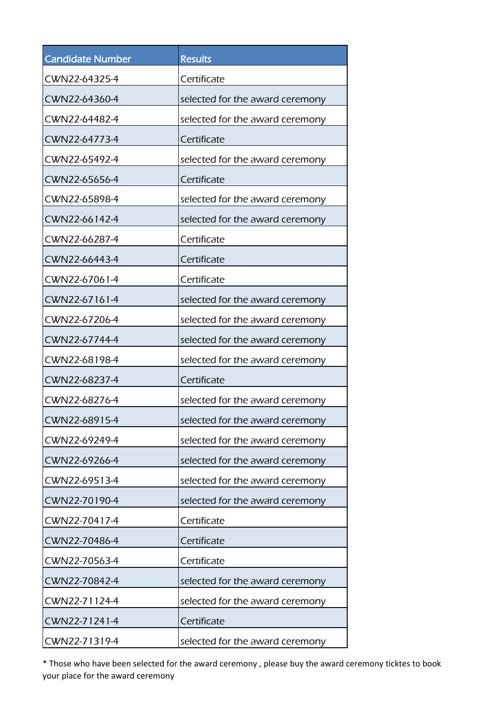| <b>Candidate Number</b> | <b>Results</b>                  |
|-------------------------|---------------------------------|
| CWN22-64325-4           | Certificate                     |
| CWN22-64360-4           | selected for the award ceremony |
| CWN22-64482-4           | selected for the award ceremony |
| CWN22-64773-4           | Certificate                     |
| CWN22-65492-4           | selected for the award ceremony |
| CWN22-65656-4           | Certificate                     |
| CWN22-65898-4           | selected for the award ceremony |
| CWN22-66142-4           | selected for the award ceremony |
| CWN22-66287-4           | Certificate                     |
| CWN22-66443-4           | Certificate                     |
| CWN22-67061-4           | Certificate                     |
| CWN22-67161-4           | selected for the award ceremony |
| CWN22-67206-4           | selected for the award ceremony |
| CWN22-67744-4           | selected for the award ceremony |
| CWN22-68198-4           | selected for the award ceremony |
| CWN22-68237-4           | Certificate                     |
| CWN22-68276-4           | selected for the award ceremony |
| CWN22-68915-4           | selected for the award ceremony |
| CWN22-69249-4           | selected for the award ceremony |
| CWN22-69266-4           | selected for the award ceremony |
| CWN22-69513-4           | selected for the award ceremony |
| CWN22-70190-4           | selected for the award ceremony |
| CWN22-70417-4           | Certificate                     |
| CWN22-70486-4           | Certificate                     |
| CWN22-70563-4           | Certificate                     |
| CWN22-70842-4           | selected for the award ceremony |
| CWN22-71124-4           | selected for the award ceremony |
| CWN22-71241-4           | Certificate                     |
| CWN22-71319-4           | selected for the award ceremony |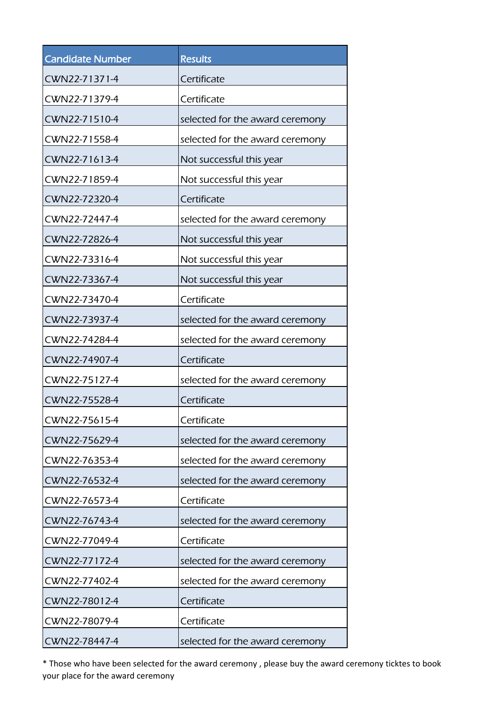| <b>Candidate Number</b> | <b>Results</b>                  |
|-------------------------|---------------------------------|
| CWN22-71371-4           | Certificate                     |
| CWN22-71379-4           | Certificate                     |
| CWN22-71510-4           | selected for the award ceremony |
| CWN22-71558-4           | selected for the award ceremony |
| CWN22-71613-4           | Not successful this year        |
| CWN22-71859-4           | Not successful this year        |
| CWN22-72320-4           | Certificate                     |
| CWN22-72447-4           | selected for the award ceremony |
| CWN22-72826-4           | Not successful this year        |
| CWN22-73316-4           | Not successful this year        |
| CWN22-73367-4           | Not successful this year        |
| CWN22-73470-4           | Certificate                     |
| CWN22-73937-4           | selected for the award ceremony |
| CWN22-74284-4           | selected for the award ceremony |
| CWN22-74907-4           | Certificate                     |
| CWN22-75127-4           | selected for the award ceremony |
| CWN22-75528-4           | Certificate                     |
| CWN22-75615-4           | Certificate                     |
| CWN22-75629-4           | selected for the award ceremony |
| CWN22-76353-4           | selected for the award ceremony |
| CWN22-76532-4           | selected for the award ceremony |
| CWN22-76573-4           | Certificate                     |
| CWN22-76743-4           | selected for the award ceremony |
| CWN22-77049-4           | Certificate                     |
| CWN22-77172-4           | selected for the award ceremony |
| CWN22-77402-4           | selected for the award ceremony |
| CWN22-78012-4           | Certificate                     |
| CWN22-78079-4           | Certificate                     |
| CWN22-78447-4           | selected for the award ceremony |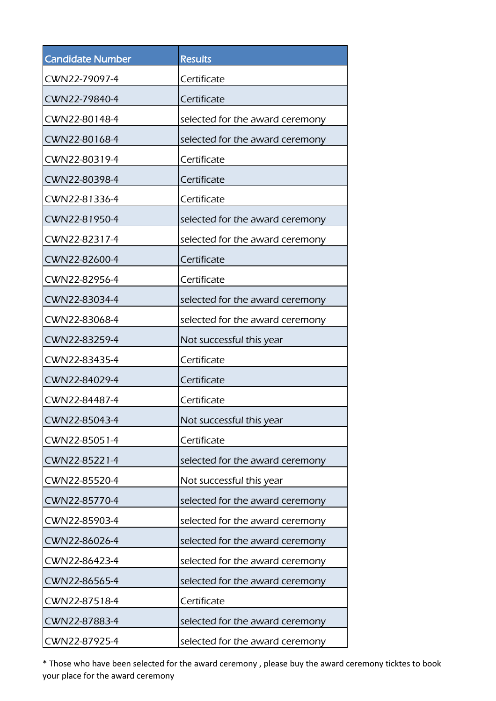| <b>Candidate Number</b> | <b>Results</b>                  |
|-------------------------|---------------------------------|
| CWN22-79097-4           | Certificate                     |
| CWN22-79840-4           | Certificate                     |
| CWN22-80148-4           | selected for the award ceremony |
| CWN22-80168-4           | selected for the award ceremony |
| CWN22-80319-4           | Certificate                     |
| CWN22-80398-4           | Certificate                     |
| CWN22-81336-4           | Certificate                     |
| CWN22-81950-4           | selected for the award ceremony |
| CWN22-82317-4           | selected for the award ceremony |
| CWN22-82600-4           | Certificate                     |
| CWN22-82956-4           | Certificate                     |
| CWN22-83034-4           | selected for the award ceremony |
| CWN22-83068-4           | selected for the award ceremony |
| CWN22-83259-4           | Not successful this year        |
| CWN22-83435-4           | Certificate                     |
| CWN22-84029-4           | Certificate                     |
| CWN22-84487-4           | Certificate                     |
| CWN22-85043-4           | Not successful this year        |
| CWN22-85051-4           | Certificate                     |
| CWN22-85221-4           | selected for the award ceremony |
| CWN22-85520-4           | Not successful this year        |
| CWN22-85770-4           | selected for the award ceremony |
| CWN22-85903-4           | selected for the award ceremony |
| CWN22-86026-4           | selected for the award ceremony |
| CWN22-86423-4           | selected for the award ceremony |
| CWN22-86565-4           | selected for the award ceremony |
| CWN22-87518-4           | Certificate                     |
| CWN22-87883-4           | selected for the award ceremony |
| CWN22-87925-4           | selected for the award ceremony |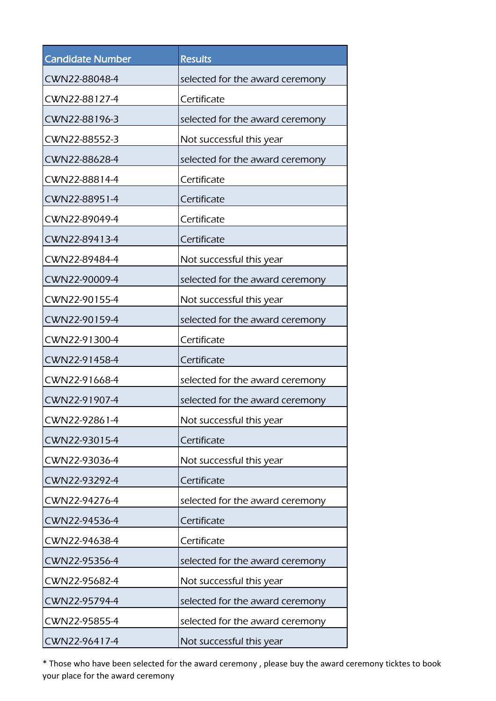| <b>Candidate Number</b> | <b>Results</b>                  |
|-------------------------|---------------------------------|
| CWN22-88048-4           | selected for the award ceremony |
| CWN22-88127-4           | Certificate                     |
| CWN22-88196-3           | selected for the award ceremony |
| CWN22-88552-3           | Not successful this year        |
| CWN22-88628-4           | selected for the award ceremony |
| CWN22-88814-4           | Certificate                     |
| CWN22-88951-4           | Certificate                     |
| CWN22-89049-4           | Certificate                     |
| CWN22-89413-4           | Certificate                     |
| CWN22-89484-4           | Not successful this year        |
| CWN22-90009-4           | selected for the award ceremony |
| CWN22-90155-4           | Not successful this year        |
| CWN22-90159-4           | selected for the award ceremony |
| CWN22-91300-4           | Certificate                     |
| CWN22-91458-4           | Certificate                     |
| CWN22-91668-4           | selected for the award ceremony |
| CWN22-91907-4           | selected for the award ceremony |
| CWN22-92861-4           | Not successful this year        |
| CWN22-93015-4           | Certificate                     |
| CWN22-93036-4           | Not successful this year        |
| CWN22-93292-4           | Certificate                     |
| CWN22-94276-4           | selected for the award ceremony |
| CWN22-94536-4           | Certificate                     |
| CWN22-94638-4           | Certificate                     |
| CWN22-95356-4           | selected for the award ceremony |
| CWN22-95682-4           | Not successful this year        |
| CWN22-95794-4           | selected for the award ceremony |
| CWN22-95855-4           | selected for the award ceremony |
| CWN22-96417-4           | Not successful this year        |